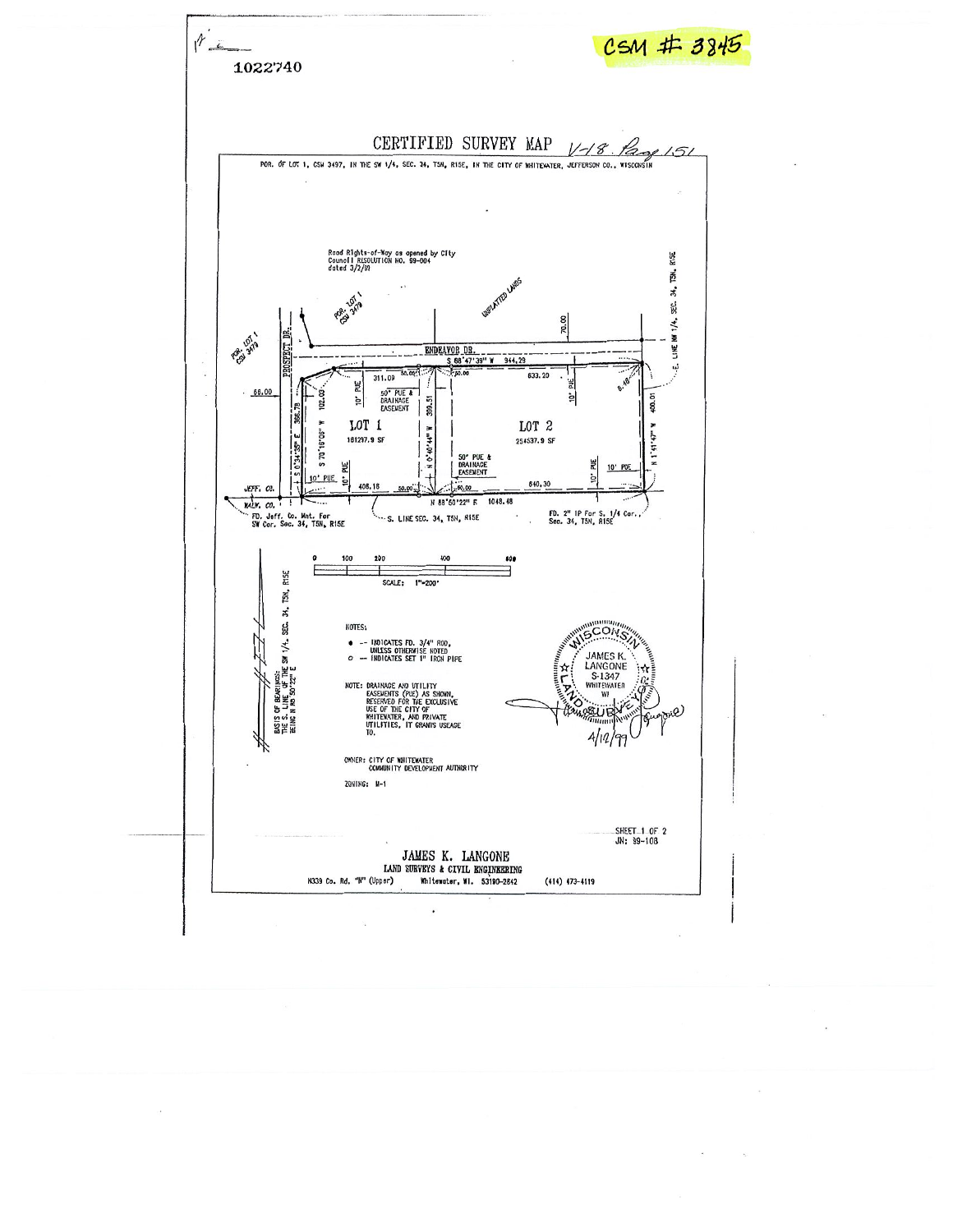